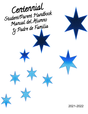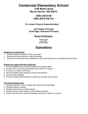# **Centennial Elementary School**

**3100 Martin Road Mount Vernon, WA 98273**

> **(360) 428-6138 (360) 428-6158 Fax**

 **Dr. Ismael Vivanco Superintendent**

**Julie Sager, Principal Chad Sage, Assistant Principal**

# **Board of Directors:**

**Robert Coffey Larry Otos Wendy Ragusa**

# **Expectations**

### **Students can expect that:**

- 1. Teachers will be interested in them as people.
- 2. Teachers will help students to help themselves.
- 3. The school will provide clear guidelines for work and behavior and consistently enforce them.

### **Parents can expect that the school will:**

- 1. Provide qualified and concerned teachers and support staff.
- 2. Provide a firm and caring atmosphere and network of support.
- 3. Provide an excellent curriculum.
- 4. Set and maintain high standards of work and behavior.
- 5. Communicate regularly.
- 6. Provide constant opportunities for parents to be heard and involved.

### **The school expects that:**

- 1. Students maintain a 95% or better daily attendance percentage.
- 2. Students behave sensibly.
- 3. Students make full use of their talents.
- 4. Parents take an active interest in their child's education.
- 5. Parents will inform the school immediately about any matters of concern.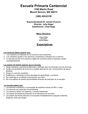# **Escuela Primaria Centennial**

# **3100 Martin Road Mount Vernon, WA 98273**

# **(360) 428-6138**

# **Superintendente Dr. Ismael Vivanco Director: Julie Sager Subdirector: Chad Sage**

# **Mesa directiva:**

**Robert Coffey Larry Otos Wendy Ragusa**

# **Expectativas**

### **Los alumnos deben esperar que :**

- 1. Los maestros se interesen en los alumnos como personas.
- 2. Los maestros ayuden a los alumnos a enseñarse a estudiar por sí mismos.
- 3. La escuela provea a los alumnos reglas de conducta claras y hacerlas cumplir consistentemente.

### **Los padres de familia esperan que la escuela:**

- 1. Tenga maestros y personal profesional y calificado que se preocupen por los alumnos.
- 2. Tenga una atmósfera de armonía y cuidado además de una comunicación de apoyo eficiente.
- 3. Tenga un currículo excelente.
- 4. Establezca y mantenga normas elevadas de aprendizaje y conducta.
- 5. Se mantenga en constante comunicación con ellos.
- 6. Dé a los padres de familia oportunidades diversas de participar en la escuela.

### **La escuela espera que:**

- 1. Los alumnos mantienen un porcentaje de asistencia diaria de 95% o mejor
- 2. Los alumnos se comporten correctamente.
- 3. Los alumnos utilicen sus talentos y virtudes totalmente.
- 4. Los padres de familia se interesen en la educación de sus hijos.
- 5. Los padres de familia informen a la escuela inmediatamente cualquier problema, pregunta, duda que tengan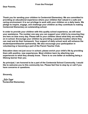**From the Principal**

**Dear Parents,**

**Thank you for sending your children to Centennial Elementary. We are committed to providing an educational experience where your children feel valued in a safe and caring environment. It is our privilege to work with your children on a daily basis. We pledge to inspire, engage, and challenge your children as they contribute to making Centennial Elementary an outstanding school.**

**In order to provide your children with this quality school experience, we will need your assistance. The number one way you can support your child is by ensuring they are here on time every day. Please talk to your children about what they are working on in school. Encourage your children by providing a peaceful location where they can read and do their homework. Your support of daily school work will enhance the student/parent/teacher partnership. We also encourage your participation in volunteering or becoming a part of the Parent Teacher Club.**

**Education does not just occur in school; please enrich your child's life by providing them with positive, new experiences. Most children learn by attaching new experiences to what they already know. There is no one better at modeling being a lifelong learner than you.**

**As principal, I am honored to be a part of the Centennial School Community. I would like to welcome you to this community too. Please feel free to stop by or call if you have concerns or questions.**

**Sincerely,**

 Julie Sager **Centennial Elementary**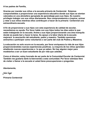**A los padres de Familia,**

**Gracias por mandar sus niños a la escuela primaria de Centennial. Estamos comprometidos a proporcionar una experiencia educativa donde sus hijos se sientan valorados en una atmósfera apropiada de aprendizaje para sus hijos. Es nuestro privilegio trabajar con sus niños diariamente. Nos comprometemos a inspirar, animar y retar a sus niños mientras ellos contribuyen a hacer de la primaria Centennial una extraordinaria escuela.**

**A fin de proporcionar a sus hijos con esta experiencia de calidad de escolar, necesitamos su ayuda. Por favor hable con sus hijos todos los días sobre lo que están trabajando en la escuela. Anime a sus hijos proporcionando una área tranquila donde se pueda leer y hacer la tarea. Su apoyo a la labor diaria de la escuela mejorará la asociación del estudiante, padre y maestro. También queremos animarlos a participar como voluntarios o ser parte del club de Padres y Maestros.**

**La educación no solo ocurre en la escuela, por favor enriquezca la vida de sus hijos proporcionándoles nuevas experiencias positivas. La mayoría de los niños aprenden añadiendo nuevas experiencias a lo que ya saben. No hay alguien mejor para modelarlos a ser un buen estudiante de por vida que ustedes.**

**Como el director, estoy honrado de ser parte de la Comunidad Escolar de Centennial. También me gustaría darle la bienvenida a esta comunidad. Por favor siéntase libre de visitar o llamar a la escuela si usted tiene preocupaciones o preguntas.**

**Atentamente,**

Julie Sager

**Primaria Centennial**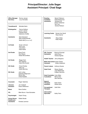# **Principal/Director: Julie Sager Assistant Principal: Chad Sage**

| <b>Office Manager</b><br><b>Secretary</b>              | Tammy Jensen<br>Lucy Gonzalez                                        | <b>Reading</b><br><b>Facilitator</b><br><b>Assistants</b>                                | <b>Becky Patterson</b><br>Adele Barborinas<br>Vanessa Hill<br>Shelly Holdeman<br>Terri Lee |
|--------------------------------------------------------|----------------------------------------------------------------------|------------------------------------------------------------------------------------------|--------------------------------------------------------------------------------------------|
| <b>Transitional-K</b>                                  | Michelle Kiehn                                                       |                                                                                          | Denise Robison                                                                             |
| Kindergarten                                           | Danna Kellison<br>Lauren Jansen<br>Theresa Swan<br>Katherine Choffel | <b>Learning Center</b>                                                                   | Denise Van Zandt<br>Rose Garner                                                            |
| <b>Assistants</b>                                      | Sara Hausauer<br>Mary Roetcisoender<br>Marta Nell (February 2022)    | <b>Assistants</b>                                                                        | <b>Stacy Sides</b><br>Kelly Knight                                                         |
| <b>!st Grade</b>                                       | Susan Johnson<br>Suzi Luna<br>Carly Nicol<br><b>Katie Rawls</b>      |                                                                                          |                                                                                            |
| 2nd Grade                                              | Dana Finch<br>Tara Mazza<br><b>Tobias McCandless</b>                 | <b>ESL Teacher</b><br><b>Assistants</b>                                                  | <b>Brianna Pimentel</b><br>Janet Davis<br>Yohana Agreda                                    |
| 3rd Grade                                              | Regan Kent<br>Alix Clawson<br>Katie Ellis-Snyder                     | Health Teacher Jenny Bergsma<br><b>Math Intervention Karen Works</b><br><b>Assistant</b> | Shelly Holdeman                                                                            |
| 4th Grade                                              | <b>Chuck Dooley</b><br>Kelly Joy<br>Kellie Manning                   | <b>Head Cook</b>                                                                         | Parent Liaison Anthony Alvarez<br><b>Stacey Sewell</b>                                     |
| 5th Grade                                              | John Lahey<br>Gretchen Magnuson<br>Miriam Ban<br>Chloe Kastelic      | <b>Head Custodian Cody Stiles</b><br><b>Custodians</b>                                   | Judy Maldonado<br><b>Colleen Henrichs</b><br>Marco Diaz<br>Alex Ramirez                    |
| Counselor<br>Librarian<br><b>Assistant</b>             | Roger Valentine<br>Jim Coldwell<br>Diane Williamson                  | <b>Speech</b><br><b>Therapist</b><br><b>Assistant</b>                                    | Kelly Fisher<br>Sheila Davis                                                               |
| <b>Music</b>                                           | Rene Godina                                                          | Occupational<br><b>Therapist</b>                                                         | Galit Shilo                                                                                |
| P.E.                                                   | Mike Munro / Kara Buckalew                                           | Intervention<br><b>Specialist</b>                                                        | Kathy Feiro                                                                                |
| <b>Psychologist</b>                                    | Yeojin Chung                                                         |                                                                                          |                                                                                            |
| <b>School Nurse</b><br>Healthroom<br><b>Assistants</b> | <b>Walter Brodie</b><br>Pamela Lammon                                |                                                                                          |                                                                                            |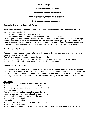# All Star Pledge:

# I will take responsibility for learning.

# I will act in a safe and healthy way.

# I will respect the rights and needs of others.

# I will treat all property with respect.

### **Centennial Elementary Homework Policy**

Homework is an expected part of the Centennial students' daily schedule plan. Student homework is assigned by teachers in order to:

- 1) give students opportunity to practice skills
- 2) help students develop characteristics of organization and responsibility

It is the expectation that Centennial students will have 20 minutes of daily reading. Kindergarten through second grade students are asked to read four days per week and  $3<sup>rd</sup>$  through  $5<sup>th</sup>$  grades students are asked to read five days per week. In addition to the 20 minutes of reading, students may have additional homework. The amount of homework each student receives will depend on the grade level and teacher.

### **Parental Help With Homework**

\*Parents can help students be successful with their homework by creating a routine for when, how, and where homework is completed.

\*Parent's involvement in homework should be kept at a minimum.

\*If homework results in a high frustration level then parents should feel free to end a homework session. If homework frequently results in family stress, please let the teacher know.

### **Reading With Your Children**

The reading material for the daily 20 minutes should be the student's **choice of a book at their reading level**. \*Reading material can be in child's home language if desired. Depending on the age or reading level of the student, this 20 minutes of reading could look quite different. Students may be required to have a parent signature or a written response to coincide with their reading. Some guidelines for this reading time are:

### Pre-readers

Parent reads to child and asks questions about the story Students practice letter names and sounds with flashcards Child looks at picture books and tells the story to the parent Beginning readers

Parent reads to child and asks questions about the story Student and parent partner read, alternating lines or pages Student points (tracks) each word read by the parent Student reads independently

Intermediate or Independent readers

Student and parent partner read, alternating lines or pages

Student reads independently

Students may be required to write a summary sentence about what they read and a parent signature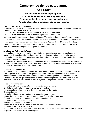# **Compromiso de los estudiantes "All Star"**

# **Yo tomaré responsabilidad por aprender. Yo actuaré de una manera segura y saludable. Yo respetaré los derechos y necesidades de otros. Yo trataré todas las propiedades ajenas con respeto.**

### **Poliza de Tarea de la Primaria Centennial**

La tarea es una parte muy importante del horario diario de los estudiantes de Centennial. La tarea es asignada por los maestros para que:

- 1. Les de a los estudiantes la oportunidad de practicar sus habilidades
- 2. Los ayuda desarrollar características de organización y responsabilidad

Se espera que los estudiantes de Centennial tengan 20 minutos de lectura diaria. A los estudiantes de Kinder a segundo grado se les pide que lean cuatro días a la semana y a los estudiantes de tercero a quinto grado se les pide que lean cinco días a la semana. Además de los 20 minutos de lectura, los estudiantes tendrán tarea por parte de la maestra de su clase o de lectura. La cantidad de tarea que cada estudiante reciba dependerá del grado y el maestro.

### **Ayuda de los Padres con la Tarea**

· Los padres pueden ayudar al éxito de los estudiantes con su tarea, creando una rutina para completarla. Esta rutina incluye un lugar tranquilo y una hora consistente para trabajar en ella. · Los padres deben de animar y motivar a sus hijos con la tarea, la mayoría de tarea debe de ser hecha

independientemente del padre.

· Finalmente, los padres deben de tener la habilidad de parar la elaboración de la tarea si el estudiante se está frustrando. Si los padres se encuentran en esta situación de suspender la tarea, solo escriban una nota al maestro explicando las circunstancias.

### **Leyendo con su Estudiante**

El material de los 20 minutos de la tarea de lectura debe de ser un libro elegido por el estudiante a su nivel del grado. El material de lectura puede estar en el idioma del hogar del niño si se desea. Dependiendo en la edad o nivel del estudiante, estos 20 minutos pueden ser diferentes para los estudiantes. Es posible que se requiera que los estudiantes tengan una firma de los padres o una respuesta escrita que coincida con su lectura. Algunas guías para este tiempo de lectura son:

### Antes de aprender a leer

Los padres le leen a su estudiante y hace preguntas sobre la historia El estudiante ve los dibujos y cuenta la historia a los padres Los estudiantes practican nombres de letras y sonidos con flashcards Empezando a leer

Los padres le leen a su estudiante y hace preguntas sobre la historia Lectura de pareja, el padre y su estudiante leen una línea, o página cada uno

El estudiante apunta a cada palabra que es leída por el padre

El estudiante lee independientemente

Lectores Intermedios o Independientes

Lectura de pareja, el padre y su estudiante leen una línea o página cada uno

El estudiante lee independientemente

Es probable que se le requiera al estudiante a escribir una oración sobre lo que ellos leyeron y la firma del padre en la forma de "Read and Response"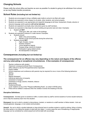# **Changing Schools**

Please notify the school office and teacher as soon as possible if a student is going to be withdrawn from school, so we may finalize transfer procedures.

# **School Rules (Including but not limited to):**

- 1. Students are encouraged to bring a refillable water bottle to school to be filled with water.
- 2. Students are expected to show respect to all adults, other students, and school property.
- 3. Students are expected to use appropriate and respectful language at all times; harassment, threats, abusive or obscene language and/or gestures **will not be tolerated**.
- 4. Students are expected to promptly obey instructions given by staff members.
- 5. Students are expected to help keep the school building and grounds neat and clean. Examples:
	- a. Student will **NOT**:
		- 1. Chew gum, litter, spit, write on the buildings
- 6. Students are expected to behave in a safe manner. Examples:
	- a. Students should:
		- 1. Walk in the school building
		- 2. Remain on the school grounds during the school day.
	- b. Students should **NOT**:
		- 1. Fight, threaten, harass
		- 2. Possess weapons
		- 3. Throw dangerous objects
		- 4. Possess drugs, alcohol & inhalants
		- 5. Participate in gang related activity
		- 6. Be disrespectful or disruptive

### **Consequences** *(Including but not limited to):*

#### **The consequences for an offense may vary depending on the nature and degree of the offense and any extenuating or exceptional circumstances. A few examples of consequences:**

- 1. Teacher conference with student
- 2. Classroom consequence/Quiet Room Consequences
- 3. Office referral to see the Principal/Intervention Specialist
- 4. Parent notified
- 5. School suspension and conference with parents may be required for one or more of the following behaviors:
	- fighting
	- assault
	- flagrant disrespect
	- intentional destruction of property
	- possession of weapon
	- possession of drugs, alcohol, inhalants, tobacco
	- gang activity
	- harassment/threats
	- acute violations of any of the "Playground/Building Rules", as noted in MVSD policy.
- 6. Police will be notified in instances when the violation involves the breaking of the law

#### **Discipline Definitions:**

**Consequences:** Activities given to students to fulfill; or actions taken by staff to remind students of correct student behavior, and to help the student(s) learn from the situation.

**Disrespect:** Any act in which a student is discourteous, insolent, or resistive to a staff member or fellow student. Acts can include gestures, language, or non-verbal communication.

**Assault:** Any act in which a student attempts or does physical harm to another student or adult by striking, biting or kicking the other person or by hitting the student or adult with any object. In some cases the use of threatening or inappropriate language can be considered as verbal assault and will be dealt with accordingly.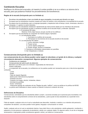# **Cambiando Escuelas**

Notifique a la oficina de la escuela y al maestro lo antes posible si se va a retirar a un alumno de la escuela, para que podamos finalizar los procedimientos de transferencia.

#### **Reglas de la escuela (Incluyendo pero no limitado a):**

- 1. Se anima a los estudiantes a traer una botella de agua recargable a la escuela para llenarla con agua.
- 2. Se espera que los estudiantes muestren respeto por todos los adultos, otros estudiantes y la propiedad de la escuela.

3. Se espera que los estudiantes usen un lenguaje apropiado y respetuoso todo el tiempo; acoso, amenazas, abusivo u obsceno lenguaje y / o gestos no serán tolerados.

- 4. Se espera que los estudiantes obedezcan rápidamente las instrucciones dadas por los miembros del personal.
- 5. Se espera que los estudiantes ayuden a mantener el edificio de la escuela limpio y ordenado. Ejemplos:

#### A. El estudiante NO debe:

- Masticar chicle, dejar basura, escupir, escribir en los edificios
- 6. Se espera que los estudiantes se comporten de manera segura. Ejemplos:
	- A. Los estudiantes deben:
		- 1. Caminata en el edificio de la escuela
		- 2. Permanecer en los terrenos de la escuela durante el día escolar.
	- B. Los estudiantes NO deben:
		- 1. Lucha, amenaza, hostiga
		- 2. Poseer armas
		- 3. Lanzar objetos peligrosos
		- 4. Poseer drogas, alcohol e inhalantes
		- 5. Participa en actividades relacionadas con pandillas
		- 6. Ser irrespetuoso o molesto

#### **Consecuencias (Incluyendo pero no limitado a)**:

#### **Las consecuencias de una ofensa pueden variar según la naturaleza y el grado de la ofensa y cualquier circunstancia atenuante o excepcional. Algunos ejemplos de consecuencias:**

- 1. Conferencia con maestra/o
- 2. Consecuencias del salón/cuarto de detención
- 3. Remisión a la oficina para ver al director / especialista de intervención
- 4. Padres notificados
- 5. La suspensión de la escuela y la conferencia con los padres pueden ser necesarios para una o más de las siguientes conductas:
	- · Lucha
	- · Asalto
	- · Falta de respeto flagrante
	- · Destrucción intencional de propiedad
	- · Posesión de arma
	- · Posesión de drogas, alcohol, inhalantes, tabaco
	- · Actividad de pandillas
	- · Acoso / amenazas
	- · Violaciones agudas de cualquiera de las "Reglas de patio / edificio", como se señala en la política de MVSD.
- 6. La policía será notificada en casos cuando la violación involucre la violación de la ley

#### **Definiciones de Disciplina:**

Consecuencias: actividades que los estudiantes deben cumplir; o acciones tomadas por el personal para recordarles a los estudiantes sobre el comportamiento correcto de los estudiantes, y para ayudar al (los) estudiante (s) a aprender de la situación.

Falta de respeto: cualquier acto en el cual un estudiante sea descortés, insolente o resistivo a un miembro del personal o compañero de estudios. Los actos pueden incluir gestos, lenguaje o comunicación no verbal.

Asalto: cualquier acto en el cual un estudiante intenta o hace daño físico a otro estudiante o adulto golpeando, mordiendo o pateando a la otra persona o golpeando al estudiante o adulto con cualquier objeto. En algunos casos, el uso de un lenguaje amenazante o inapropiado puede considerarse agresión verbal y se tratará en consecuencia.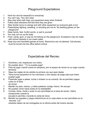# Playground Expectations

- 1. Have fun and be respectful to everybody
- 2. You can't say, "You can't play"
- 3. Stop play when bell rings, put equipment away when finished
- 4. Follow adult directions the first time they are given
- 5. Take shorter turns on swings and with other equipment so everyone gets a turn
- 6. Pretend/play fighting, wrestling, or shooting are not ok. No tackling games on the playground
- 7. Keep hands, feet, hurtful words, or spit to yourself
- 8. You may not run up the slide
- 9. Food, candy, gum, or pop do not belong on the playground. Exceptions may be made with school rewards or ice cream sales
- 10. Keep toys and handheld games at home. Electronics are not allowed. Cell phones must be turned into the office before school.

# Expectativas del Recreo.

- 1. Divertirse y ser respetuoso con todos
- 2. No puedes decir, " Tú no puedes jugar"
- 3. Para de jugar cuando suene la campana, pon el equipo de recreo en su lugar cuando termines
- 4. Sigue las reglas de los adultos la primera vez que sean dadas
- 5. Toma turnos pequeños en los columpios u otro equipo de juego para que todos puedan jugar
- 6. Pretender jugar a pelear, luchar o tirotear no es correcto. No se permiten juegos rudos en el área de recreo
- 7. Mantén los pies, manos, y malas palabras contigo mismo. No escupir
- 8. No puedes correr hacia arriba en la resbaladilla
- 9. Comida, dulce, chicle o soda no son permitidas en el área de recreo. Habrá excepciones cuando la
	- escuela lo permita o durante la venta de nieve
- 10. Mantén tus juguetes y juegos electrónicos en tu casa estos no son permitidos en la `escuela. Los

celulares deben de ser entregados en la oficina antes del horario escolar.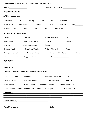# CENTENNIAL BEHAVIOR COMMUNICATION FORM

| DATE: ____________________                                                                                                                                                                                                                                                                                                                                 |                              | Home Room Teacher: Nome Room Teacher:                  |                                    |                 |                               |              |
|------------------------------------------------------------------------------------------------------------------------------------------------------------------------------------------------------------------------------------------------------------------------------------------------------------------------------------------------------------|------------------------------|--------------------------------------------------------|------------------------------------|-----------------|-------------------------------|--------------|
|                                                                                                                                                                                                                                                                                                                                                            |                              |                                                        |                                    |                 |                               |              |
| <b>AREA: (PLEASE CIRCLE)</b>                                                                                                                                                                                                                                                                                                                               |                              |                                                        |                                    |                 |                               |              |
| P.E.<br>Classroom                                                                                                                                                                                                                                                                                                                                          | Library                      | Music                                                  | Hall                               | Cafeteria       |                               |              |
| Math class<br>Reading class                                                                                                                                                                                                                                                                                                                                |                              | Bathroom                                               | <b>Bus</b>                         | <b>Bus Line</b> |                               | Other        |
| <b>Before</b><br>Recess:                                                                                                                                                                                                                                                                                                                                   | AM                           | Lunch                                                  | PM                                 | After School    |                               |              |
| <b>BEHAVIOR (S): (PLEASE CIRCLE)</b>                                                                                                                                                                                                                                                                                                                       |                              |                                                        |                                    |                 |                               |              |
| Fighting                                                                                                                                                                                                                                                                                                                                                   | Teasing                      |                                                        | Cafeteria Violation                |                 | Lying                         |              |
| Disrespectful                                                                                                                                                                                                                                                                                                                                              | <b>Gang Related Activity</b> |                                                        | Cheating                           |                 | Vandalism                     |              |
| Defiance                                                                                                                                                                                                                                                                                                                                                   | Rock/Bark throwing           |                                                        | Spitting                           |                 |                               |              |
| Hurting an Adult                                                                                                                                                                                                                                                                                                                                           |                              | <b>Dress Code Violation</b><br>Profanity/Obscenity     |                                    |                 | <b>Threat</b>                 |              |
| Hurting another student                                                                                                                                                                                                                                                                                                                                    |                              | <b>Classroom Misbehavior</b><br><b>Computer Misuse</b> |                                    |                 |                               | <b>Theft</b> |
| <b>Failure to follow Directions</b>                                                                                                                                                                                                                                                                                                                        |                              | Other____________________<br>Inappropriate Behavior    |                                    |                 |                               |              |
|                                                                                                                                                                                                                                                                                                                                                            |                              |                                                        |                                    |                 |                               |              |
| <b>Reported by:</b>                                                                                                                                                                                                                                                                                                                                        |                              |                                                        |                                    |                 |                               |              |
| THE FOLLOWING ACTION WAS TAKEN: (PLEASE CIRCLE)                                                                                                                                                                                                                                                                                                            |                              |                                                        |                                    |                 |                               |              |
| Verbal Reprimand                                                                                                                                                                                                                                                                                                                                           | Redirection                  |                                                        | <b>Walk with Supervisor</b>        |                 | <b>Time Out</b>               |              |
| Loss of Recess                                                                                                                                                                                                                                                                                                                                             | Campus Clean-up              |                                                        | <b>Counselor Referral</b>          |                 | Apology                       |              |
| Quiet Room                                                                                                                                                                                                                                                                                                                                                 | <b>Parent Called</b>         |                                                        | <b>Parent Conference</b>           |                 | <b>Letter Sent Home</b>       |              |
| <b>After School Detention</b>                                                                                                                                                                                                                                                                                                                              |                              |                                                        | In House Suspension Parent pick-up |                 | <b>Harassment Form</b>        |              |
| <u>Comments:</u> comments: comments: comments: comments: comments: comments: comments: comments: comments: comments: comments: comments: comments: comments: comments: comments: comments: comments: comments: comments: comments:<br><u> 1990 - Jan James James James James James James James James James James James James James James James James J</u> |                              |                                                        |                                    |                 |                               |              |
|                                                                                                                                                                                                                                                                                                                                                            |                              |                                                        |                                    |                 |                               |              |
|                                                                                                                                                                                                                                                                                                                                                            |                              |                                                        |                                    |                 | Date: _______________________ |              |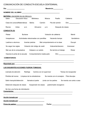# COMUNICACIÓN DE CONDUCTA ESCUELA CENTENNIAL

| Día: _______________________                                          |                           |               | Maestro/a: www.com/                            |            |
|-----------------------------------------------------------------------|---------------------------|---------------|------------------------------------------------|------------|
|                                                                       |                           |               |                                                |            |
| <u> MATERIA: (ENCIERRE EN UN CÍRCULO)</u>                             |                           |               |                                                |            |
| Salón<br>Educación física                                             | Biblioteca                | Música        | Pasillo                                        | Cafetería  |
| Clase de Lectura/Matemáticas Baños Camión                             |                           |               | Fila del camión                                | Otro       |
| Antes<br>Recreo                                                       | a.m.                      | Almuerzo p.m. | Después de clases                              |            |
| <u>CONDUCTA (S)</u>                                                   |                           |               |                                                |            |
| Pelear<br><b>Burlarse</b>                                             |                           |               | Violación de cafetería                         | Mentir     |
| Irrespetuoso Actividades relacionadas con pandillas Haciendo trampa   |                           |               |                                                | Vandalismo |
| Lastimar a alumnos                                                    |                           |               | Aventar piedras Mal comportamiento en la clase | Escupir    |
| No seguir las reglas Violación del código de vestir lndecente/obsceno |                           |               |                                                | Amenazar   |
| Mal uso de la computadora                                             |                           |               | Golpear a un adulto No termino el trabajo      | Robar      |
| Hacerse la pinta de la escuela                                        | Comportamiento inadecuado |               | Otro                                           |            |
| <b>COMENTARIOS:</b>                                                   |                           |               |                                                |            |
|                                                                       |                           |               |                                                |            |

# **Reportado por:** \_\_\_\_\_\_\_\_\_\_\_\_\_\_\_\_\_\_\_\_\_\_\_\_\_\_\_\_\_\_

#### **LAS SIGUIENTES ACCIONES FUERON TOMADAS:**

| Llamada de atención                                      | Redirige |                      | Camina con el supervisor                | Tiempo de recapacitar     |
|----------------------------------------------------------|----------|----------------------|-----------------------------------------|---------------------------|
| Pérdida del recreo Limpieza de los alrededores           |          |                      | Se manda con el consejero Pide disculpa |                           |
| Salón tranquilo/detención                                |          | llamada al padre     | Junta con los padres                    | Se manda una carta a casa |
| Detención después de clases                              |          | Suspensión de clases | padre/madre recogieron                  |                           |
| Se hizo una forma de intimidación<br><b>Comentarios:</b> |          |                      |                                         |                           |
| <u>Acción tomada por</u> : _                             |          |                      |                                         |                           |
| Acción tomada por:                                       |          |                      |                                         |                           |
| Firma de padres:                                         |          |                      | Fecha:                                  |                           |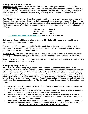# **Emergencies/School Closures**

**Emergency Form:** Each year parents are asked to fill out an *Emergency Information Sheet*. This information is **vitally important** to the school office, as it provides pertinent phone numbers and names of people who should be contacted in case of an emergency. This form is also used to verify custody of a child if there is a need. **If the information changes during the year please contact the office immediately.**

**Snow/Hazardous conditions:** Hazardous weather, floods, or other unexpected emergencies may force changes in bus transportation schedules and pick-up/drop-off points for school children. A school may be closed because of snow, extremely low temperatures, or other emergency situations. The following radio & television stations and Web site begin broadcasting emergency schedules or school closure information at 6:00 a.m.:

| KAPS am 1470                                              | KOMO 4 |
|-----------------------------------------------------------|--------|
| <b>KBRC am 1430</b>                                       | KING 5 |
| <b>KLKI am 1340</b>                                       | KIRO 7 |
| http://www.mountvernonschools.com/ District announcements |        |

**Earthquake:** Centennial Elementary has earthquake drills during which students are taught how to respond during and after an earthquake.

**Fire:** Centennial Elementary has monthly fire drills for all classes. Students are trained to leave their current setting in a prompt and orderly manner. In addition, staff is trained in proper school evacuation procedures to ensure the safety of all students.

**Security Alerts:** Centennial Elementary practice lockdown drills in the event there is ever an intruder or any danger on or near our campus. Staff is trained in the proper procedures in securing our building.

**Bus Emergencies:** In the event of an emergency on a bus, emergency exit procedures, as established by the emergency exit drills, will be followed.

### **Emergency Preparedness**

We believe it will be reassuring for you to know that Centennial Elementary School has taken an aggressive posture in disaster preparedness. Because earthquake preparedness, response and recovery is the most inclusive of the disaster situations we face, Centennial Elementary has concentrated efforts on preparing for a catastrophic earthquake. In preparing for the type of widespread devastation anticipated with a major quake or even with a lesser intensity quake, our school's response and recovery capabilities will permit us to handle other types of disasters. The safety and welfare of students and staff is the primary consideration in all preparedness planning. The Centennial Disaster Preparedness Plan is based on these factors:

- 1. **STUDENTS WILL REMAIN AT SCHOOL** Students will be kept at school until released to parents or other authorized person(s).
- 2. **CONTROLLED STUDENT RELEASE** Campus will be secured: all students will be accounted for and then released through an established procedure at release areas.
- 3. **STAFF REMAINS ON CAMPUS** Staff members are expected to have personal/family/home disaster plans, so that they can carry out their school disaster responsibilities with knowledge that their families know how to proceed without them.
- 4. **PERSONNEL ARE TRAINED** Staff members have received training in response procedures and are provided opportunities for development of needed skills (i.e. first aid courses, rescue, etc.). **WE ARE PREPARED TO HELP KEEP OUR STUDENTS SAFE!**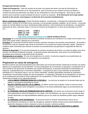#### **Emergencias/ Escuela cerrada**

**Tarjeta de Emergencia:** Cada año escolar se les pide a los padres que llenen una hoja de información de emergencia. Esta información es de vital importancia para la escuela ya que contiene números de teléfono y nombres de personas pertinentes que deben de ser contactadas en casos de emergencia. Esta hoja es usada también para comprobar la patria potestad del alumno cuando es necesario. **Si la información de la hoja cambia durante el año escolar comuníquese a la dirección de la escuela inmediatamente.**

**Nieve/ condiciones peligrosas:** Estado del tiempo peligroso, inundaciones, o emergencias inesperadas pueden forzar ciertos cambios en el horario de los camiones y en las paradas (subidas y bajadas) de los mismos. La escuela puede ser cerrada debido a la nieve, temperaturas bajas extremas u otras situaciones de emergencia. Las siguientes estaciones de radio y televisión darán a conocer los horarios de emergencia o el cierre de las escuelas a las 6:00 a.m.:

| <b>KAPS am 1470</b> | KOMO 4 |
|---------------------|--------|
| <b>KBRC am 1430</b> | KING 5 |
| <b>KLKI am 1340</b> | KIRO 7 |
|                     |        |

#### **<http://www.mountvernonschools.com/> distrito de Mount Vernon**

**Terremotos**: En la escuela primaria Centennial se practican simulacros de incendios en los cuales se les enseña a los niños cómo actuar antes y después de un terremoto.

**Incendios:** En la escuela Centennial todos los grupos practican simulacros de incendios mensualmente. Se enseña a los alumnos a salir de cualquier lugar donde se encuentren en la escuela de manera ordenada y rápida. Además los maestros están entrenados para evacuar la escuela con procedimientos que garantizan la seguridad de todos los alumnos. .

**Alertas de Seguridad:** En la escuela Centennial se practican simulacros de encierro; en casos de peligro cerca de la escuela o de intrusos invadiendo el plantel. El personal escolar está entrenado para actuar con procedimientos apropiados para mantener la seguridad dentro del plantel.

**Emergencias en el camión:** En caso de emergencia en el camión, los alumnos seguirán los procedimientos de salida de emergencia practicados en los simulacros de emergencia.

### **Preparación en casos de emergencia**

Nosotros creemos que será tranquilizante para usted saber que la Escuela Primaria Centennial ha tomado una actitud agresiva en la preparación de los desastres. Ya que la preparación de un terremoto, la respuesta y recuperación es la mas incluída en las situaciones de desastre que nosotros enfrentamos, la primaria Centennial ha concentrados sus esfuerzos preparándose para un terremoto catastrófico. Al prepararnos para un tipo extendido de devastación anticipada con un terremoto mayor o uno con menor intensidad, nuestras capacidades escolares de respuesta y recuperación nos permitirán manejar otro tipo de desastres. La seguridad y bienestar de los estudiantes y el personal es la consideración primordial en loda la planeación de la preparación. El Plan de Preparación de Desastres de Centennial es basado en los siguientes factores:

- 1. **LOS ALUMNOS PERMANECERÁN EN LA ESCUELA** Los alumnos se estarán en la escuela hasta que los padres o una persona autorizada los recoja**.**
- 2. **SALIDA CONTROLADA DE LOS ALUMNOS** El edificio escolar será protegido: todos los alumnos serán contados y después serán entregados a sus padres en las áreas establecidas según los procedimientos de seguridad.
- 3. **EL PERSONAL ESCOLAR PERMANECERÁ EN EL EDIFICIO** Se espera que el personal escolar tenga un plan organizado en casos de desastre en sus casas y con sus familiares, así que en casos de desastre ellos puedan desarrollar sus responsabilidades sabiendo que en sus casas sus familiares pueden seguir adelante sin ellos.
- 4. **EL PERSONAL ESTÁ ENTRENADO**  El personal escolar ha recibido entrenamiento acerca de los procedimientos necesarios en casos de emergencia, además el distrito escolar provee oportunidades para desarrollar destrezas si ellos lo requieren (cursos de rescate, o primeros auxilios).

#### **ESTAMOS PREPARADOS PARA AYUDAR A MANTENER SEGUROS A NUESTROS ALUMNOS!**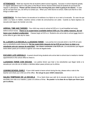**ATTENDANCE** - State law requires that all students attend school regularly. Success in school depends greatly on regular attendance and it is the policy of the Mount Vernon School District that all students be punctual and regular in attendance. **Please call the school on the morning that your child is going to be absent.** In case we do not hear from you, we will try to contact you. When your child returns to school, make sure that he or she brings a written note.

**ASISTENCIA** - Por favor llame a la escuela en la mañana si su hijo/a no va a venir a la escuela. En caso de que usted o su hijo/a no hablen, nosotros vamos a tratar de comunicarnos con usted. Cuando su hijo/a regresa a la escuela esté seguro de mandar una nota.

**ARRIVAL TIME AND TARDIES** - Your child may come to school at 8:05 a.m. to eat breakfast and enjoy before-school recess. **There is no supervision available before 8:05 a.m. For safety reasons, do not leave your student unattended.** Classes begin at 8:25 a.m. Students who arrive late to school must check in at the office to get a late slip for class.

**EL LLEGAR A LA ESCUELA y LLEGADAS TARDE –** Las puertas de la escuela abren a las 8:05 am para que su estudiante pueda desayunar. **No hay supervisión después de las 8:05 am por favor no dejar a su estudiante solo por razones de seguridad. Las clases comienzan a las 8:25 a.m.** Los estudiantes que lleguen tarde deben pasar por la oficina a agarrar una nota de llegada tarde.

**EXCUSED LATE ARRIVALS** - A parent should bring students who arrive late to school due to medical or dental appointments to the school office to check in.

**LLEGADAS TARDE CON EXCUSA** - Los padres tienen que traer a los estudiantes que llegan tarde a la escuela por una cita con el médico o dentista deben pasar primero por la oficina.

**LEAVING SCHOOL EARLY** - If your child needs to leave school during the day, please write a note to the teacher and check your child out at the office. **Do not go to your child's classroom.**

**SALIDA TEMPRANO DE LA ESCUELA** - Si su hijo/a tiene que salir de la escuela durante el día por favor escríbale una nota a su maestro y pase a la oficina a firmar. **No puede ir a la clase de su hijo/a por favor pase por la oficina.**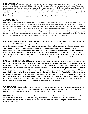**END OF THE DAY** - Please remember that school ends at 3:00 pm. Students will be dismissed when the bell rings. Parents should pick up their children in the car pick up area in front of the kindergarten play area. Please do not leave your car. Parents not using the normal pick-up area must park in a designated parking spot. Students will NOT be allowed to run across traffic to get into the cars that are parked in the lot, parents must leave the car and escort child from the school. Cars will not be allowed to park in the YMCA lot or in designated handicap spots without proper permits.

If the office/teacher does not receive notice, student will be sent via their regular method.

### **AL FINAL DEL DIA**

**Por favor recuerde que la escuela termina a las 3:00pm**. Los estudiantes serán despedidos cuando suene la campana. Los padres deben recoger a sus hijos en la zona enfrente de la escuela en la área llamada "car pick up" donde deben de estacionar su auto en la curva para que los estudiantes suban al auto de manera segura. Por favor no estacione y deje su auto en la área de "car pick up", usé el estacionamiento adecuado para evitar tráfico. Los estudiantes NO pueden correr entre el trafico para llegar a los autos estacionados en el estacionamiento. Los autos tambien no serán permitidos estacionarse en áreas de discapacidad sin permiso apropiado.Si la oficina / profesor no recibe notificación, los estudiantes serán enviados a casa a través de su método regular.

**BECCA BILL INFORMATION** - School attendance is a serious issue in Washington State. The "BECCA Bill" was enacted (RCW 28A.225.010) requiring parents to provide a timely written excuse when students are away from school for legitimate reasons. Without a parental excuse **and** school verification, students will be considered truant. **The school may file a Juvenile Court petition for five (7) unexcused absences in a month, ten (15) cumulative unexcused absences in a year, OR if your child's attendance falls below 80% of the school year.**  Once the school determines a student is truant, school officials are **required** to file a petition with Juvenile Court. This law applies to all students in grades K-12. The district wants to avoid filing petitions but will need parental help to see that children attend school and are not absent without a written excuse. (See Attendance Policy.)

**INFORMACION DE LA LEY BECCA** - La asistencia a la escuela es una cosa seria en el estado de Washington. La "BECCA Bill" fue pasado (RCW 28A.225.010) se requiere que los padres proveen una excusa escrita cuando los estudiantes no están en la escuela por cualquier razón. Sin una excusa del padre **y** sin una verificación de la escuela, los estudiantes se considerarán ausentes sin excusa. **La escuela puede presentar una petición al Tribunal de Menores por cinco (7) ausencias injustificadas en un mes, diez (15) ausencias injustificadas acumulativas en un año, O si la asistencia de su hijo cae por debajo del 80% del año escolar.** Cuando la escuela se determina que el estudiante está ausente sin permiso, los directores son **requeridos** que hagan una petición a la corte juvenil. Estas leyes aplican a los estudiantes en los grados de kinder a 12. El distrito no quiere hacer estas peticiones pero tiene que tener la ayuda de los padres para que los niños/as asistan a la escuela y no estén ausentes de la escuela sin una excusa escrita. (Vea la póliza de asistencia)

**WITHDRAWALS** - If you need to withdraw your child from school due to a move or other reasons, please give the office at least one day's notice. There are forms the office needs to complete and send to your child's new school. Please make sure that any school fines are paid and that library books are returned.

**Mudanza** - Si usted tiene que sacar su hijo/a de la escuela por razón de mudanza o tiene otras razones, por favor dígale a la oficina por lo menos un día antes. Hay algunas formas en la oficina que usted necesita llenar y mandarlas a la nueva escuela de su hijo/a. Por favor esté seguro que su hijo/a no tenga multas en la escuela ni libros de la biblioteca.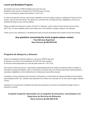# **Lunch and Breakfast Program**

All students will receive FREE breakfast and lunch this year. Breakfast will be served to students from 8:05-8:25 each morning. Lunch is scheduled by grade level between 11:00-12:30.

In order to provide this service, each family (regardless of income status) needs to complete the Family Income Survey. Just one form per family. This allows us to provide Free and Reduced Fees, Eligibilities, and how we distribute funding for every school building.

Please complete the electronic version of the form in Skyward, under Custom Forms Family Income Survey (2021-22). It is also available at the school office and on the website in English, Spanish, and Russian.

Thank you for your assistance in completing this task to ensure all students have access to food and funding!

# **Any questions concerning the lunch program please contact: Food Services Supervisor Dave Connors @ 360-428-6149**

# **Programa de desayuno y almuerzo**

Todos los estudiantes recibirán desayuno y almuerzo GRATIS este año. El desayuno se servirá a los estudiantes de 8:05-8:25 cada mañana. El almuerzo está programado por nivel de grado entre las 11:00-12:30.

Para poder brindar este servicio, cada familia (independientemente del estado de ingresos) debe completar la Encuesta de ingresos familiares. Solo un formulario por familia. Esto nos permite proporcionar tarifas gratuitas y reducidas, elegibilidad y cómo distribuimos los fondos para cada edificio escolar.

Complete la versión electrónica del formulario en Skyward, en la Encuesta de ingresos familiares de formularios personalizados (2021-22). También está disponible en la oficina de la escuela y en el sitio web en Inglés, Español y Ruso.

¡Gracias por su ayuda para completar esta tarea para garantizar que todos los estudiantes tengan acceso a alimentos y fondos!

# **Cualquier pregunta relacionada con el programa de almuerzos, comuníquese con: Supervisor de Servicios de Alimentos Dave Connors @ 360-428-6149**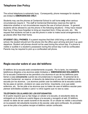# **Telephone Use Policy**

The school telephone is extremely busy. Consequently, phone messages for students are limited to **EMERGENCIES ONLY.**

Students may use the phones at Centennial School to call home **only** when serious circumstances require it. The staff at Centennial Elementary reserves the right to determine whether or not circumstances require the use of school phones. In general, students will be allowed to use the phone in the following situations: if they have missed their bus; if they have forgotten to bring an important form; if they are sick, etc. We request that students not ask to use the phone in order to make social arrangements to go places other than their home.

**STUDENT CELL PHONES:** If a parent requires that their child bring a cell phone to school, the student should turn the phone into the office upon arriving and pick it up upon departure. Student cell phones should not be used during the school day. If a phone is visible or audible in a student's possession during the school day it will be confiscated. Parents may be required to pick up a confiscated cell phone.

# **Regla escolar sobre el uso del teléfono**

El teléfono de la escuela está constantemente ocupado. Por lo tanto, los mensajes telefónicos dirigidos a los alumnos están limitados a **EMERGENCIAS SOLAMENTE**. En la escuela Centennial se les permitirá a los alumnos el uso de los teléfonos para llamar a casa **únicamente** cuando las circunstancias lo requieran. El personal de la escuela Centennial se reserva el derecho de determinar el uso del los teléfonos de la escuela por los alumnos. Los alumnos podrán usar los teléfonos de la escuela cuando: Se les pase el camión, olvidaron en casa una forma importante, si es que están enfermos, etc. Se les pide a los alumnos que no traten de usar el teléfono escolar para planear actividades sociales o para ir a otros lugares que no sea su casa.

# **TELÉFONOS CELULARES DE LOS ESTUDIANTES:**

Si el padre requiere que su hijo traiga un celular a la escuela, el estudiante debe de entregarlo en la oficina en cuanto llegue a la escuela y recogerlo al salir. El teléfono celular no debe de ser usado durante el día escolar. Si un celular es visible o escuchado en la posesión del estudiante durante el día escolar, este será confiscado. Es probable que se les pida a los padres recojan el teléfono celular confiscado.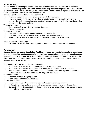# **Volunteering**

**In accordance of Washington health guidelines, all school volunteers who wish to be in the school or attend/chaperone a field trip, must now be fully vaccinated against the COVID-19 virus.** Volunteers must also be cleared through the District Office. The first step in this process is to complete an online application located on the District Office website.

Once the Volunteer Application has been confirmed:

- 1) Volunteer is approved to chaperone a field trip with the classroom
- 2) Volunteer is approved to work in the school and in the classroom. Examples of volunteer opportunities include: preparing materials, tutoring small groups or individuals, providing teacher support with classroom projects

Volunteers should:

- 1) Sign in at the office on arrival/ sign out on departure
- 2) Wear a volunteer badge

Volunteers should not:

- 1) Work with individual students outside of teacher's supervision
- 2) Text, take pictures, record, or use personal phone while in the classroom
- 3) Share student academic or behavioral information to non-school staff members

Parent Volunteers for Field Trips:

1) Will meet with the principal/assistant principal prior to the field trip for a field trip orientation

### **Voluntarios**

**De acuerdo con las pautas de salud de Washington, todos los voluntarios escolares que deseen estar en la escuela o asistir / acompañar a un viaje de campo, ahora deben estar completamente vacunados contra el virus COVID-19.** Los voluntarios también deben ser autorizados a través de la Oficina del Distrito. El primer paso en este proceso es completar una aplicacion en linea ubicada en el sitio web de la Oficina del Distrito.

Ya que la Aplicación de Voluntarios sea confirmada:

- 1) El voluntario es aprobado a ir de chaperone en un paseo en la clase
- 2) El voluntario es aprobado a trabajar en la escuela y en el salón de clase. Ejemplos de oportunidades de voluntarios incluyen: preparar materiales, dar tutoría a grupos pequeños o individuales, dar apoyo a los maestros con proyectos de la clase

Voluntarios deben:

- 1) Firmar en la oficina al llegar y al salir
- 2) Portar una identificación de voluntarios

El voluntario no debe:

- 1) Trabajar con estudiantes individuales fuera de la supervisión de los maestros
- 2) Textear, tomar fotos, grabar o usar su teléfono personal cuando este en el salón de clase
- 3) Compartir información académica, o de comportamiento del estudiante a personas que no sean Miembros del personal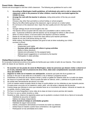### **Parent Visits - Observation**

Parents are encouraged to visit their child's classroom. The following are guidelines for such a visit:

- **1. According to Washington health guidelines, all individuals who wish to visit or observe the classroom, while in the presence of other children, must be fully vaccinated against the COVID-19 virus.**
- **2. Arrange the visit with the teacher in advance,** noting what portion of the day you would like to see.
- 3. Choose a day other than just before a school holiday or school program.
- 4. Stop by the office before going to the classroom, sign-in and pin on a visitor button.
- 5. Do not knock on the classroom door. Open the door quietly and sit in the back of the room.
- 6. Younger siblings should not be brought to the visit.
- 7. The teacher will be occupied with the class and unavailable to talk to visitors at this time. A personal conference with the teacher can be arranged for before or after school.
- 8. When it is time to leave, a nod and smile to the teacher is all that is needed.
- 9. Please do not take pictures or record the class without prior teacher permission.
- 10. Please do not use a cell phone during your visit.
- 11. While visiting, the following indicators are good to look at when evaluating your child's success in school:
	- Ability to listen
	- Independent work habits
	- **Success while working with others in group activities**
	- Ability to follow directions
	- Interest and enthusiasm for the assigned tasks
	- Attitude toward suggestions or comments by the teacher
	- Participation in class activities

#### **Visitas/Observaciones de los Padres**

En la escuela Centennial se anima a los padres de familia para que visiten el salón de sus hijos/as. Para visitar el salón de clases de sus hijos/as por favor:

- 1. **De acuerdo con las pautas de salud de Washington, todas las personas que deseen visitar o observar el en el aula, mientras esté en presencia de otros niños, debe estar completamente vacunado contra el Virus del COVID-19.**
- 2. **Organice la visita con el maestro con anticipación**, anotando qué parte del día te gustaria ver
- 3. Escoja un día que no sea antes de un día festivo o de un festival o programa escolar.
- 4. Preséntese a la dirección de la escuela a firmar y recibir un gafete de visitante antes de ir al salón de clases.
- 5. No toque en la puerta del salón. Abra la puerta del salón en silencio, entre y siéntese en la parte de atrás.
- 6. No puede traer hermanitos/as del alumno a la visita.
- 7. Como el maestro estará ocupado dando la clase no podrá platicar con los visitantes en ese momento preciso. Si quiere tener una junta con el maestro/a podrá pedir una cita antes o después del día escolar.
- 8. Cuando tenga que retirarse lo único que necesita hacer es un movimiento de cabeza indicando al maestro de su partida, sonría y hasta luego.
- 9. Por favor no tome fotografías o tome video de la clase sin tener el previo permiso del maestro.
- 10. Por favor no use su celular durante su visita.
- 11. Durante su visita, observe los siguientes pasos que le ayudarán a evaluar el éxito de su hijo/a en la escuela:
	- Habilidad de escuchar al maestro
	- Hábitos de trabajo independiente
	- **Éxito durante el trabajo en actividades grupales**
	- Habilidad de seguir instrucciones
	- Interés y entusiasmo demostrado al momento de recibir sus deberes
	- Actitud hacia el maestro cuando hace comentarios o da sugerencias
	- Participación en las actividades de la clase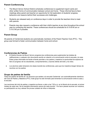# **Parent Conferencing**

- 1. The Mount Vernon School District schedules conferences to supplement report cards and other written forms of communication between school and home. These informal face-to-face meetings allow parent and teacher an opportunity for full exploration of students' progress, behaviors and reasons behind their successes and challenges.
- 2. Students are released early on conference days in order to provide the teachers time to meet with parents
- 3. Parents may also request a conference with their child's teacher at any time throughout the school year by contacting the teacher. These conferences should be scheduled for 8:15-8:45 am or 3:15-3:45 pm if possible.

# **Parent Group**

All parents of Centennial students are automatically members of the Parent Teacher Club (PTC). This group was formed to foster communication between home and school.

### **Conferencias de Padres**

- El Distrito Escolar de Mount Vernon programa las conferencias para suplementar las boletas de calificaciones o cualquier otro documento escrito en relación a la comunicación entre la escuela y la casa. Estas juntas informales de frente-a-frente permiten a los padres y maestros la oportunidad de explorar de lleno el progreso de los estudiantes, comportamientos y razones detrás del éxito y los retos.
- Los alumnos salen temprano de clases durante las conferencias, para que los maestros tengan tiempo de reunirse con los padres

# **Grupo de padres de familia**

Todos los padres de familia de los alumnos que asisten a la escuela Centennial son automáticamente miembros del Club de Padres y Maestros (PTC). Este grupo ha sido formado para fomentar la comunicación entre la casa y la escuela.

Las reuniones del club de padres y maestros se llevan a cabo a las 7:00 p.m. en la librería de la escuela, el primer martes de cada mes. Se le mandará información acerca de cada reunión. Por favor planeé reunirse con nosotros, su participación es muy valiosa! Se provee cuidado de niños e intérprete.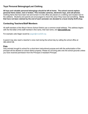# **Toys/ Personal Belongings/Lost Clothing**

**All toys and valuable personal belongings should be left at home. The school cannot replace personal items stolen, lost or broken. This includes cameras, electronic toys, and cell phones.** Clothing Items that have been lost and turned in to the office are placed on a clothing rack located next to the cafeteria. Students and parents are encouraged to check this area if they have lost something. **Items that have not been claimed by the end of each semester are donated to a local charity thrift shop.**

# **Contacting Teachers/Staff Members**

All staff members of the Mount Vernon School District use a common email address. This address begins with the first letter of the staff member's first name, their last name, and **@mvsd320.org**

For example Julie Sager would be jsager@mvsd320.org

A parent may also reach a teacher's voice mail during the school day by calling the school office at 360-428-6138.

### **Pets**

Only animals brought to school for a short-term instructional purpose and with the authorization of the principal will be allowed on school district property. Please do not bring pets onto the school grounds unless you have received permission from the Principal or Assistant Principal.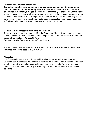# **Pertenencias/juguetes personales**

**Todos los juguetes y pertenencias valuables personales deben de quedarse en casa. La escuela no puede reemplazar artículos personales robados, perdidos o quebrados. Esto incluye juegos electrónicos, cámaras, y teléfonos celulares**. Todos los artículos de ropa extraviados que sean regresados a la dirección de la escuela serán colocados en un exhibidor de ropa junto a la cafetería. Se invita a los alumnos y padres de familia a revisar esta área si han perdido algo. Los artículos que no sean reclamados al finalizar cada semestre serán donados a las tiendas de caridad.

# **Contactar a los Maestros/Miembros del Personal**

Todos los miembros del personal del Distrito Escolar de Mount Vernon usan un correo electrónico común. Este correo electrónico empieza con la primera letra del nombre del personal, su apellido, y **@mvsd320.org.**

Por ejemplo Julie Sager sería jsager@mvsd320.org

Padres también pueden tener el correo de voz de los maestros durante el día escolar llamando a la oficina escolar al 360-428-6138

## **Mascotas**

Los únicos animales que podrán ser traídos a la escuela serán los que van a ser utilizados con el propósito de enseñar o instruir a los alumnos, por un tiempo corto y con la debida autorización del director en la propiedad de la escuela. Por favor no traiga mascotas a la escuela a menos que usted haya recibido permiso del director o de su asistente.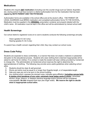# **Medications**

Students who require **ANY medication** (including over the counter drugs such as Tylenol, Ibuprofen, etc.) during school must have turned in a district authorization form for the medication that has been **signed by BOTH PARENT AND THE PHYSICIAN.**

Authorization forms are available in the school office and at the doctor's office. THE PARENT OR LEGAL GUARDIAN must BRING medication and completed authorization forms TO THE SCHOOL**.** Medication must be supplied in the **ORIGINAL** prescription container and properly labeled with the child's name. All medication must be kept in the office and will be administered by trained school staff.

# **Health Screenings**

Our school district's registered nurse at no cost to students conducts the following screenings annually:

- Vision (grades K-3 & 5 only)
- Hearing (grades K-3 & 5 only)

If a parent has a health concern regarding their child, they may contact our school nurse.

# **Dress Code Policy**

Students are expected to dress comfortably, in a manner that does not create a material or substantial disruption to the educational process. Students who wear clothing that is deemed inappropriate will be asked to call home for clothes. If no contact is made the student will wear clothes provided by Centennial to change into. The administration at Centennial school reserves the right to determine the appropriateness of clothing. The following may provide some useful guidelines when selecting school attire.

- 1) Students should be clean & well groomed.
- 2) Shorts and skirts must be equal to or longer than fingertip length, or of respectable length.
- 3) Hats and caps are not to be worn in the school building.
- 4) Any clothing which: exposes the stomach area, indicates gang affiliation (**including canvas belts & paisley print bandanas of any color, extremely large baggy pants & shirts**), advertises alcohol, drugs, tobacco, or displays obscene language and/or pictures will be considered unacceptable**.** *No thin strapped tank tops (two finger width). We reserve the right to decide what is inappropriate school attire.*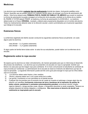# **Medicinas**

Los alumnos que necesitan **cualquier tipo de medicamento** durante las clases, (incluyendo pastillas como Tylenol, Ibuprofen que se pueden adquirir en cualquier tienda) deben de entregar una forma de autorización del distrito. Esta forma deberá estar **FIRMADA POR EL PADRE DE FAMILIA Y EL MÉDICO** que recetó la medicina. La forma de autorización la puede conseguir en la dirección de la escuela y también en la oficina de su médico. EL PADRE O TUTOR deberá TRAER la medicina y la forma de autorización A LA ESCUELA. La medicina deberá estar en el frasco **ORIGINAL** recetado y deberá estar propiamente etiquetado con el nombre del alumno. Todos los medicamentos deberán estar en la dirección escolar y serán suministrados por el personal capacitado que trabaja en la escuela.

# **Exámenes físicos**

.

La enfermera registrada del distrito escolar conducirá los siguientes exámenes físicos anualmente sin costo alguno para los alumnos.

- $\cdot$  vista (Kinder 3 y 5 grados solamente)
- · oído (Kinder 3 y 5 grados solamente)

Si algún padre de familia tiene dudas sobre la salud de sus estudiantes, puede hablar con la enfermera de la escuela.

# **Reglamento sobre la ropa escolar**

Se espera que los alumnos se vistan cómodamente y de manera apropiada para que no interrumpa el desarrollo del proceso de enseñanza. Los alumnos que se presenten a la escuela con ropa no apropiada tendrán que llamar a la casa para que les traigan ropa para cambiarse. Si no hubo comunicación el estudiante se cambiará de ropa proveída por Centennial. La administración de la escuela se reserva el derecho de determinar que tipo de ropa es apropiada. La siguiente información puede servirle como guía para escoger la ropa que los niños deben usar en la escuela:

- 1) Los alumnos deben estar limpios y bien vestidos.
- 2) Shorts y playeras deben ser a una cuarta arriba de la rodilla.
- 3) Las gorras y sombreros no son permitidos en el plantel escolar
- 4) Cualquier tipo de prendas que al momento de ser usada se muestre el estómago o tengan algún tipo de relación con pandillas (**incluyendo cinturones de lona y bandanas de la impresión de paisley de todos colores, pantalones o camisetas extremadamente grandes)**, promueven alcohol, drogas, cigarros (tabaco), o tenga escritas cosas, dibujos, o fotografías obscenas no serán aceptados. Tampoco se aceptan playeras de tirantes delgados u ombligueras. **Nos reservamos el derecho de decidir que vestimenta es inapropiado para la escuela**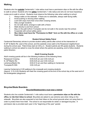# **Walking**

Students who live **outside** Centennial's 1 mile radius must have a permission slips on file with the office to walk to school. Students who live **within** Centennial's 1 mile radius and who do not have hazardous routes are to walk to school. Students must observe the following rules when walking to school:

- 1. Always walks on the sidewalk. If there are no sidewalks, always walk facing traffic.
- 2. Avoid pushing or shoving when walking.
- 3. Look both ways more than once when crossing streets.
- 4. Help younger students.
- 5. Do not walk alone; arrange to walk with a friend.
- 6. Walk directly to and from school.
- 7. Stay on the path to/from Trumpeter and do not walk in the woods near the school.
- 8. Cooperate with school safety patrol.
- 9. **Bus riders must have the "Permission to Walk" form on file with the office or a note from home.**

### **Student School Safety Patrol**

Centennial Elementary strives to provide student safety patrols after school at the intersection of N 30<sup>th</sup> & Martin Rd. west of the school, and the eastside cross walk to the Rosewood neighborhood during the school year. Patrol times start at 3:00 p.m. Student patrols are 5th grade students. Students walking to school are asked to cross the street where the patrols are assisting, and to follow student patrol direction.

### **Adult Crossing Guards**

Adult crossing guards will be in the following locations at the following times:

| Rosewood Crossing               | 8:05-8:25 am and 3:00-3:20 pm               |
|---------------------------------|---------------------------------------------|
| N. 30 <sup>th</sup> /Martin Rd. | 8:05-8:25 am and 3:00-3:20 pm               |
| LaVenture/Martin Rd.            | 8:00-8:10 am and then walking to Centennial |
| Trumpeter/N 30th                | $3:00-3:20$ pm                              |

Leaving Centennial at 3:05 walking to the crosswalk and crossing students (Approx. 3:15-3:20) Students will meet the crossing guard at the end of the school day at the west end of the kindergarten playground

# **Bicycles/Skate Boarders**

### **Bicyclist/Skateboarders must wear a helmet**

Students who live outside Centennial's 1 mile radius must have a **permission slips on file with the office, to ride their bikes to school**. Bicyclists are asked to use extreme care when riding on the sidewalk. Bicyclists are also expected to lock their bikes on the school grounds when not using them in order to protect them from theft. The school is not responsible for stolen or damaged bicycles. A permission slip is provided each year in the "beginning of the year" packet.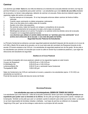# **Caminar**

Los alumnos que **viven fuera** de una milla de distancia a la redonda de la escuela deberán de tener una hoja de permiso firmada en su expediente para poder caminar. Los estudiantes que viven **dentro de una milla** alrededor de la escuela y no tienen rutas peligrosas, deberán de caminar a la escuela. Estos alumnos deberán seguir las siguientes reglas del camino a la escuela:

- 1. Caminar siempre en la banqueta. Si no hay banqueta entonces deben caminar de frente al tráfico vehicular.
- 2. Cuando vayan caminando no deben empujarse o jalonearse.
- 3. Vean a los dos lados de la calles antes de cruzarlas
- 4. Ayuden a los niños más pequeños.
- 5. No caminen solos, traten de hacerlo con amigos o compañeros de la escuela.
- 6. Caminen directamente de la escuela a la casa y de la casa a la escuela.
- 7. Manténganse siempre en el camino Trumpeter y no caminen entre los árboles cerca de la escuela.
- 8. Cooperen con la seguridad peatonal escolar.
- **9. Los alumnos que utilizan el camión deben de tener un "permiso para irse caminando" en el archivo de la dirección de la escuela o una nota del padre de familia. Seguridad Escolar Pateonal de Estudiantes**

La Primaria Centennial se esfuerza a proveer seguridad peatonal estudiantil después del día escolar en el cruce de la N 30th y Martin Rd al oeste de la escuela y en el cruce lado este del vecindario de Rosewood durante el año escolar. El horario empieza a las 3:00 pm. Los estudiantes de seguridad peatonal son de 5to grado. Se les pide a los estudiantes que caminen a la escuela que crucen la calle en donde hay la asistencia peatonal, y que sigan las direcciones del estudiante de seguridad.

### **Adultos en el Cruce Peatonal**

Los adultos encargados del cruce peatonal, estarán en los siguientes lugares en este horario:

| Crucero de Rosewood | $8:05-8:25$ am y 3:00-3:20 pm             |
|---------------------|-------------------------------------------|
| N 30th/Martin Rd    | 8:05-8:25 am y 3:00-3:20 pm               |
| LaVenture/Martin Rd | 8:00-8:10 am y caminarán hacia Centennial |
| Trumpeter/N 30th    | $3:00-3:20$ pm                            |

Salen de Centennial a las 3:05 pm caminando al crucero y pasando a los estudiantes (aprox. 3:15-3:20) Los estudiantes se reunirán al Final del día escolar al oeste del área de recreo de Kinder

#### **Bicicletas/Patinetas**

#### **Los estudiantes que usen su bicicleta/patineta, DEBEN DE TENER UN CASCO!**

Los estudiantes que viven fuera de 1 milla de la escuela Centennial, tienen que tener una **hoja de permiso en su expediente para poder usar su bicicleta en la oficina.** Se les pide que tengan precaución cuando manejen por la banqueta. También se les pide que usen un candado cuando la estación para evitar que se las roben. La escuela no se hará responsable de bicicletas robadas o dañadas. Las hojas de permiso se obtienen en el paquete "beginning of the year" que se les entrega a cada alumno a principios del año escolar.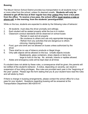# **Bussing**

The Mount Vernon School District provides bus transportation to all students living 1 1/3 or more miles from the school, unless it's deemed unsafe. **Students will only be allowed to get off the bus at their regular bus stop** *unless* **they have a bus pass from the office. To receive a bus pass, the school office must receive a note or phone call, in the morning, from the students' parent/guardian.**

While on the bus, students are expected to abide by the following rules of behavior:

- 1. All students must obey the driver promptly and willingly.<br>2. Each student will be seated properly while the bus is in r
- 2. Each student will be seated properly while the bus is in motion.<br>3. Classroom conduct standards will be observed on school buses
- 3. Classroom conduct standards will be observed on school buses
	- Remain in seat and sit properly
	- Be courteous to others and use only appropriate language
	- Refrain from any activities that are dangerous to others -(shoving, tripping,kicking)
- 4. Food, gum and drink are not allowed on buses unless authorized by the driver
- 5. There shall be no use of tobacco products or illegal drugs.
- 6. Only safe objects will be allowed on the bus. Unsafe objects include:
	- Skateboards, glass containers, sharp objects or items too
		- large to hold on the lap. No animals, insects or reptiles allowed.
- 7. Aisles and emergency exits will be kept clear at all times

If a student does not abide by these rules, a consequence shall be given; the parents will be notified of the student's behavior. A notice, depending on severity, can result in suspension of bus riding privileges. Bus rules are provided each year in the "beginning of the year" packet. Please sign the form stating that you & your student have read the rules and will abide by them.

If there is change in bussing arrangements, please contact the school office for a bus pass for your student. Questions regarding bussing will be answered at the Transportation Department 360-428-6147.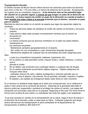# **Transportación Escolar:**

El Distrito Escolar de Mount Vernon ofrece servicio de camiones para todos los alumnos que viven a más de 1 1/3 (una milla y un tercio) de distancia de la escuela. Exceptuando los lugares que se consideren inseguros**. A los alumnos solo se les permitirá bajar del camión en su parada regular, a menos de que tengan un pase de la dirección de la escuela. La única manera de recibir un pase de la dirección es cuando el padre o tutor manda una nota o llama a la escuela avisando que el alumno necesita un pase para el camión.**

Mientras los alumnos estén en el camión se espera que sigan las siguientes reglas de conducta:

- 1. Todos los alumnos deben de obedecer al chofer del camión al momento y de buena manera.
- 2. Cada alumno debe estar sentado correctamente mientras que el camión se encuentra en
	- movimiento.
- 3. La misma conducta que los alumnos mantienen en el salón de clases deberá mantenerse en

los camiones escolares

- Mantenerse sentados apropiadamente en el asiento.
- Ser cortés con sus compañeros y usar únicamente lenguaje apropiado
- Mantenerse alejados de cualquier tipo de actividades que sean peligrosas para

# ellos

o para sus compañeros (empujarse, patearse, tropezarse, etc).

4. En el camión no está permitido comer, mascar chicle o beber refrescos a menos que lo

permita el chofer

- 5. No se deben usar productos que contengan tabaco o cualquier tipo de drogas
- 6. En el camión solamente se permitirán objetos seguros. Objetos peligrosos se incluyen entre otros:

 - patinetas, frascos de vidrio, objetos puntiagudos o artículos grandes que no quepan entre el asiento y las piernas. No se permiten animales, insectos o reptiles.

7. El pasillos y las salidas de emergencia deben estar libres en todo momento

Si un alumno no obedece estas reglas se le dará una consecuencias; se le notificará al padre o tutor acerca de la conducta del alumno. Depende de la gravedad dela falta el alumno podrá ser suspendido o perderá el privilegio de utilizar el camión. Las reglas del transporte son proveídas cada año en el paquete "beginning of the year".Por favor firme la forma como prueba de que usted y su estudiante han leído las reglas y las respetarán.

 Si es que necesita un cambio en la transportación de su hijo/a, haga el favor de llamar a la dirección de la escuela y pida un pase para su hijo/a. Cualquier pregunta que tenga acerca del servicio de transportación le será contestada en el departamento de transportación al teléfono 360-428-6147.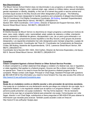## **Non Discrimination**

The Mount Vernon School District does not discriminate in any programs or activities on the basis of sex, race, creed, religion, color, national origin, age, veteran or military status, sexual orientation, gender expression or identity, disability, or the use of a trained dog guide or service animal and provides equal access to the Boy Scouts and other designated youth groups. The following employee(s) have been designated to handle questions and complaints of alleged discrimination: Title IX Coordinator/ Civil Rights Compliance Coordinator, Bill Nutting, Assistant Superintendent, 124 E. Lawrence Street Mount Vernon, WA 98273, (360)428-6110;

Section 504 / ADA Coordinator, Clint Carlton, Director of Special and Support Services, 920 S. Second Street Mount Vernon, WA 98273, (360)428-6141

### **No discriminacion**

El Distrito Escolar de Mount Vernon no discrimina en ningún programa o actividad por motivos de sexo, raza, credo, religión, color, nacionalidad, edad, estado de veterano o militar, orientación sexual, expresión o identidad de género, discapacidad o uso. de un perro guía entrenado o un animal de servicio y proporciona acceso equitativo a los Boy Scouts y otros grupos de jóvenes designados. Los siguientes empleados han sido designados para manejar preguntas y quejas de supuesta discriminación: Coordinador del Título IX / Coordinador de Cumplimiento de Derechos Civiles, Bill Nutting, Asistente del Superintendente, 124 E. Lawrence Street Mount Vernon, WA 98273, (360)428-6110 ;

Coordinador de la Sección 504 / ADA, Clint Carlton, Director de Servicios Especiales y de Apoyo, 920 S. Second Street Mount Vernon, WA 98273, (360)428-6141

# **Complaint**

# **Citizen Complaint Against a School District or Other School Service Provider.**

A citizen complaint is a written statement that alleges a violation of a federal rule, law or regulation, or state regulation that applies to a federal program. Anyone can file a citizen complaint. There is no special form. There is no need to know the law that governs a federal program to file a complaint. Please contact Julie Sager, Principal or Chad Sage, Assistant Principal with questions @ 360-428-6138 for the information you need to move forward.You may also access this online at <http://www.k12.wa.us/Equity/Complaints.aspx>

# **Queja**

# **Queja de un ciudadano contra un distrito escolar u otro proveedor de servicios escolares.**

Una queja de un ciudadano es una declaración escrita que alega una violación de una regla, ley o reglamento federal, o una regulación estatal que se aplica a un programa federal. • Cualquier persona puede presentar una queja ciudadana. • No hay forma especial. • No es necesario conocer la ley que rige un programa federal para presentar una queja. Comuníquese con Julie Sager, director o con Chad Sage, subdirectora si tiene preguntas al 360-428-6138 para obtener la información que necesita para avanzar. También puede acceder a esto en línea en http://www.k12.wa.us/Equity/ Quejas.aspx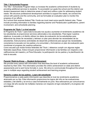# **Title 1 Schoolwide Program**

The Title 1 Schoolwide Program helps us increase the academic achievement of students by providing additional services to students. To accomplish our goals the school and the district use student assessment data to determine areas of need and outline a plan for addressing student needs. We structure professional development activities to support the needs, we connect the school with parents and the community, and we formulate an evaluation plan to monitor the progress of our efforts.

As a school that receives federal Title I funds we must meet some specific federal rules. These include providing information to families regarding teacher and Paraeducator qualifications, parent involvement, and schoolwide planning.

### **Programa de Título 1 a nivel escolar**

El Programa de Título 1 para toda la escuela nos ayuda a aumentar el rendimiento académico de los estudiantes al proporcionar servicios adicionales a los estudiantes. Para lograr nuestros objetivos, la escuela y el distrito utilizan los datos de evaluación de los estudiantes para determinar las áreas de necesidad y delinear un plan para abordar las necesidades de los estudiantes. Estructuramos actividades de desarrollo profesional para apoyar las necesidades, conectamos la escuela con los padres y la comunidad, y formulamos un plan de evaluación para monitorear el progreso de nuestros esfuerzos.

Como escuela que recibe fondos federales del Título I, debemos cumplir con algunas reglas federales específicas. Estos incluyen proporcionar información a las familias con respecto a las calificaciones del maestro y el Para Educador, la participación de los padres y la planificación de toda la escuela.

# **Parents' Right-to-Know — Student Achievement**

We provide every parent with information that describes the level of academic achievement reached by their child. This information provides the child's achievement on state and district assessments and is sent home formally in June. We strive to communicate throughout the school year in multiple ways regarding student achievement and learning progress.

### **Derecho a saber de los padres - Logro del estudiante**

Proporcionamos a cada padre información que describe el nivel de rendimiento académico alcanzado por su hijo. Esta información proporciona los logros del niño en las evaluaciones estatales y del distrito y se envía a casa formalmente en junio. Nos esforzamos por comunicarnos a lo largo del año escolar de múltiples maneras con respecto al logro estudiantil y el progreso del aprendizaje.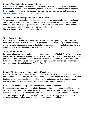# **School's Written Family Involvement Policy**

We have a written parent involvement policy outlining how we work together as a school community to support all of our students, staff and families. The current Parent Involvement Policy can be requested at your school, Also, you may view it on our School Webpage at <http://www.centennial.mountvernonschools.org>

### **Política escrita de participación familiar de la escuela**

Tenemos una política escrita de participación de los padres que describe cómo trabajamos juntos como una comunidad escolar para apoyar a todos nuestros estudiantes, personal y familias. La Política de participación de los padres actual se puede solicitar en su escuela. Además, puede verla en la página web de nuestra Escuela en http://www.centennial.mountvernonschools.org

# **Title I, Part A Meeting**

We invite parents to learn more about Title I, Part A programs operating at our school by attending school and district meetings throughout the year. In the Spring we host a meeting where we explain the requirements of this federal program, and let parents know they have a right to be involved in school program activities funded by Title I, Part A.

### **Título I, Parte A Reunión**

Invitamos a los padres a aprender más sobre los programas de Título I, Parte A que operan en nuestra escuela asistiendo a las reuniones de la escuela y del distrito durante todo el año. En la primavera organizamos una reunión en la que explicamos los requisitos de este programa federal y les informamos a los padres que tienen derecho a participar en las actividades del programa escolar financiadas por el Título I, Parte A.

# **Parents' Right-to-Know — Highly-qualified Teachers**

We provide timely notice to every parent if a teacher who is not highly qualified has been assigned or has taught their child for four or more consecutive weeks. All of our teachers meet the federal highly qualified status. In addition our Paraeducators working with children on academic support also meet the required federal highly qualified requirements.

### **El derecho a saber de los padres: maestros altamente calificados**

Proporcionamos un aviso oportuno a todos los padres si un maestro que no está altamente calificado ha sido asignado o ha enseñado a sus hijos durante cuatro o más semanas consecutivas. Todos nuestros maestros cumplen con el estado federal altamente calificado. Además, nuestros Para Educadores que trabajan con niños en apoyo académico también cumplen con los requisitos federales altamente calificados requeridos.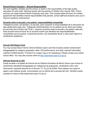# **School-Parent Compact— Shared Responsibility**

We work together, families and the school, to share in the responsibility of the high quality education for each child. Working closely with the parents of children who receive Title I, Part A services we create School-Parent Compacts each year. This compact takes the form of a written agreement that identifies shared responsibilities that parents, school staff and students carry out to improve academic achievement.

### **Acuerdo entre la escuela y los padres: responsabilidad compartida**

Trabajamos juntos, las familias y la escuela, para compartir la responsabilidad de la educación de alta calidad para cada niño. Trabajando estrechamente con los padres de los niños que reciben los servicios de la Parte A del Título I, creamos acuerdos entre la escuela y los padres cada año. Este acuerdo toma la forma de un acuerdo escrito que identifica las responsabilidades compartidas que los padres, el personal escolar y los estudiantes llevan a cabo para mejorar el rendimiento académico.

# **Annual LEA Report Card**

You may access Mount Vernon School Districts report card that includes student achievement disaggregated by category-graduation rates, LEA performance, and other required information outlined in ESSA Section 111(h)(2).For a paper copy or for assistance, Please contact your child's school office. You may also access online at<http://reportcard.ospi.k12.wa.us>

### **Informe Anual de la LEA**

Puede acceder a la tarjeta de informe de los Distritos Escolares de Mount Vernon que incluye el rendimiento estudiantil desagregado por categorías de graduación, rendimiento LEA y otra información requerida descrita en la Sección 111 (h) (2) de ESSA. Para obtener una copia en papel o para obtener ayuda, comuníquese con su oficina de la escuela del niño. También puede acceder en línea en http://reportcard.ospi.k12.wa.us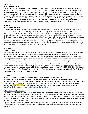### **ENGLISH: NONDISCRIMINATION**

The Mount Vernon School District does not discriminate in employment, programs, or activities on the basis of age, race, color, national origin, creed, religion, sex, sexual orientation, gender expression, gender identity, honorably discharged veteran or military status, or the presence of any sensory, mental or physical disability or use of a trained guide dog or service animal by a person with a disability and provides equal access to the Boy Scouts and other designated youth groups. Inquiries regarding compliance and/or grievance procedures may be directed to the District's Title IX/Civil Rights Compliance Coordinator, Bill Nutting, Assistant Superintendent, 124 E. Lawrence Street, Mount Vernon, WA 98273 (360)428-6110; Section 504/ADA Coordinator, Clint Carlton, Director of Special and Support Services, 920 S. Second Street, Mount Vernon, WA 98273, (360)428-6141.

#### **SPANISH:**

### **NO DISCRIMINACIÓN**

El Distrito Escolar de Mount Vernon no discrimina en ninguno de los programas o actividades según el sexo, la raza, el credo, la religión, el color, el origen nacional, la edad, el ser veterano o la situación militar, la orientación sexual, la expresión de género, la identidad de género, discapacidad o el uso de un perro guía capacitado o animal de servicio y proporciona un acceso equitativo a los Boy Scouts y otros grupos de jóvenes designados. Las preguntas en cuanto al cumplimiento y/o los procedimientos de resolución de conflictos pueden dirigirse al Coordinador de Quejas de los Derechos Civiles del Distrito/Titulo IX, Bill Nutting, Superintendente Asistente, 124 E. Lawrence Street Mount Vernon, WA 98273, (360)428-6110; Coordinador de la Legislación para los Estadounidenses con Discapacidades/Sección 504, Clint Carlton, Director de Servicios Especiales y de Apoyo, 920 S. Second Street, Mount Vernon, WA 98273, (360)428-6141.

#### **RUSSIAN:**

#### **Недискриминация**

Маунт Вернон школьный округ предоставляет равные права и возможности участия во всех программах или видах деятельности независимо от пола, расы, вероисповедания, религиозных взглядов, цвета кожи, национальности, возраста, статуса ветерана или военнослужащего, сексуальной ориентации, гендерного самовыражения или самоопределения, инвалидности или использования обученной собаки-поводыря или животного-поводыря, и предоставляет равный доступ бойскаутам и другим специализированным молодёжным группам. С вопросами и жалобами о возможной дискриминации обращайтесь к следующему ответственному работнику (работникам): Титул IX, координатор по соблюдению гражданских прав, Билл Наттинг, помощник суперинтенданта, 124 E. Lawrence Street Mount Vernon, WA 98273, (360)428-6110; Секция 504 / Координатор ADA, Клинт Карлтон, Директор Специальных и Вспомогательных Служб, 920 S. Second Street Mount Vernon, WA 98273, (360)428-6141.

#### **Complaint**

#### **Citizen Complaint Against a School District or Other School Service Provider.**

A citizen complaint is a written statement that alleges a violation of a federal rule, law or regulation, or state regulation that applies to a federal program. • Anyone can file a citizen complaint. • There is no special form. • There is no need to know the law that governs a federal program to file a complaint. Please contact Julie Sager with questions @ 360-428-6138 for the information you need to move forward.You may also access this online <https://www.k12.wa.us/about-ospi/contact-us/how-file-complaint>

#### **Title 1 Schoolwide Program**

The Title 1 Schoolwide Program helps us increase the academic achievement of students by providing additional services to students. To accomplish our goals the school and the district use student assessment data to determine areas of need and outline a plan for addressing student needs. We structure professional development activities to support the needs, we connect the school with parents and the community, and we formulate an evaluation plan to monitor the progress of our efforts.

As a school that receives federal Title I funds we must meet some specific federal rules. These include providing information to families regarding teacher and Para Educator qualifications, parent involvement, and schoolwide planning.